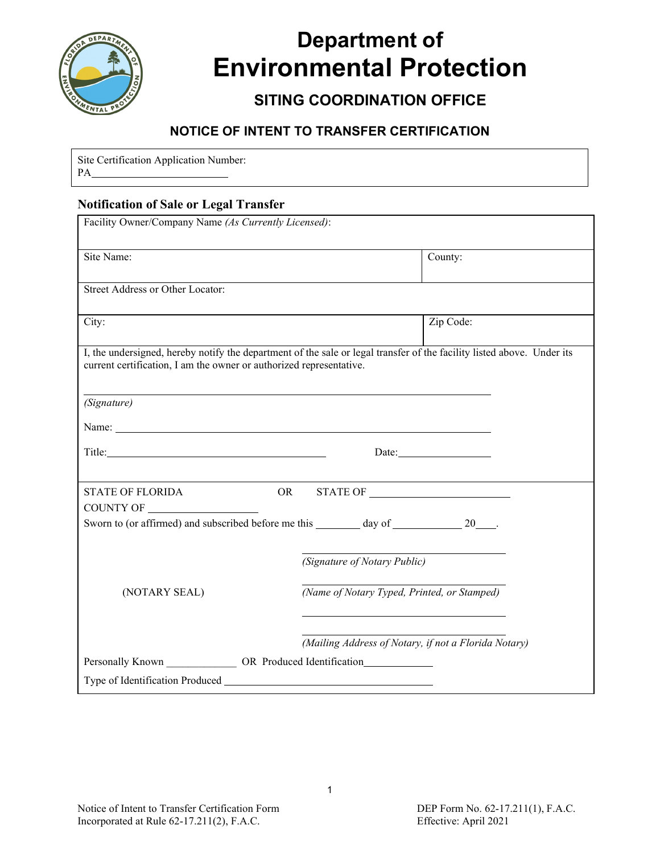

# **Department of Environmental Protection**

## **SITING COORDINATION OFFICE**

### **NOTICE OF INTENT TO TRANSFER CERTIFICATION**

Site Certification Application Number: PA

#### **Notification of Sale or Legal Transfer**

| Facility Owner/Company Name (As Currently Licensed):                                                                                                                                                                           |                                                      |  |  |
|--------------------------------------------------------------------------------------------------------------------------------------------------------------------------------------------------------------------------------|------------------------------------------------------|--|--|
| Site Name:                                                                                                                                                                                                                     | County:                                              |  |  |
| Street Address or Other Locator:                                                                                                                                                                                               |                                                      |  |  |
| City:                                                                                                                                                                                                                          | Zip Code:                                            |  |  |
| I, the undersigned, hereby notify the department of the sale or legal transfer of the facility listed above. Under its<br>current certification, I am the owner or authorized representative.                                  |                                                      |  |  |
| (Signature)                                                                                                                                                                                                                    |                                                      |  |  |
| Name: Name and the state of the state of the state of the state of the state of the state of the state of the state of the state of the state of the state of the state of the state of the state of the state of the state of |                                                      |  |  |
| Title: Title:                                                                                                                                                                                                                  |                                                      |  |  |
|                                                                                                                                                                                                                                |                                                      |  |  |
| <b>STATE OF FLORIDA</b>                                                                                                                                                                                                        | OR STATE OF                                          |  |  |
|                                                                                                                                                                                                                                |                                                      |  |  |
|                                                                                                                                                                                                                                | (Signature of Notary Public)                         |  |  |
| (NOTARY SEAL)                                                                                                                                                                                                                  | (Name of Notary Typed, Printed, or Stamped)          |  |  |
|                                                                                                                                                                                                                                | (Mailing Address of Notary, if not a Florida Notary) |  |  |
| Personally Known ______________ OR Produced Identification________________                                                                                                                                                     |                                                      |  |  |
|                                                                                                                                                                                                                                |                                                      |  |  |